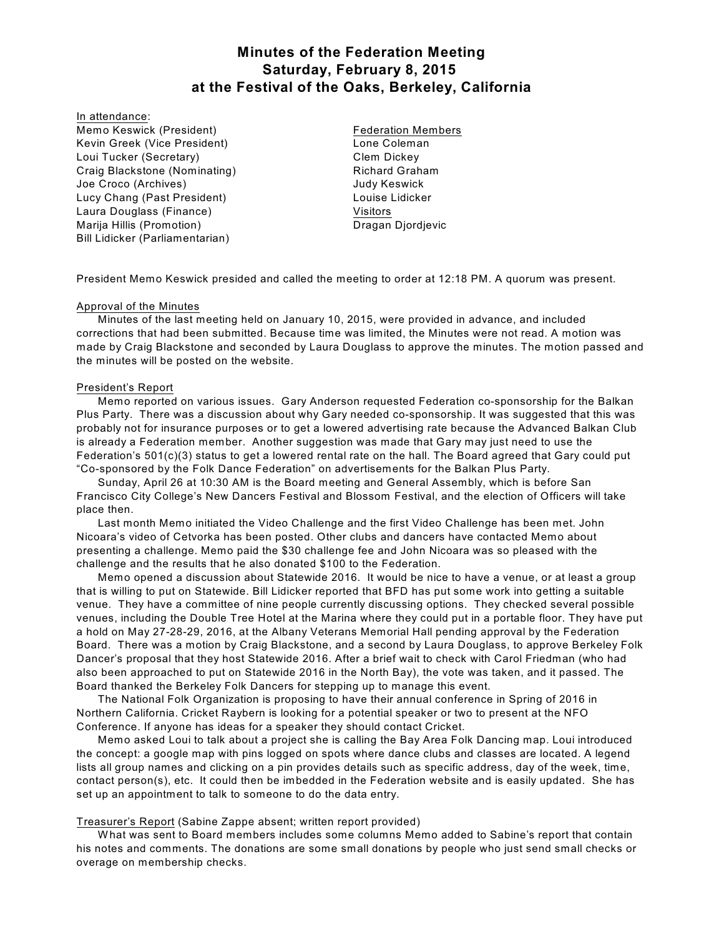# **Minutes of the Federation Meeting Saturday, February 8, 2015 at the Festival of the Oaks, Berkeley, California**

#### In attendance:

Memo Keswick (President) Kevin Greek (Vice President) Loui Tucker (Secretary) Craig Blackstone (Nominating) Joe Croco (Archives) Lucy Chang (Past President) Laura Douglass (Finance) Marija Hillis (Promotion) Bill Lidicker (Parliamentarian)

Federation Members Lone Coleman Clem Dickey Richard Graham Judy Keswick Louise Lidicker Visitors Dragan Djordjevic

President Memo Keswick presided and called the meeting to order at 12:18 PM. A quorum was present.

# Approval of the Minutes

Minutes of the last meeting held on January 10, 2015, were provided in advance, and included corrections that had been submitted. Because time was limited, the Minutes were not read. A motion was made by Craig Blackstone and seconded by Laura Douglass to approve the minutes. The motion passed and the minutes will be posted on the website.

# President's Report

Memo reported on various issues. Gary Anderson requested Federation co-sponsorship for the Balkan Plus Party. There was a discussion about why Gary needed co-sponsorship. It was suggested that this was probably not for insurance purposes or to get a lowered advertising rate because the Advanced Balkan Club is already a Federation member. Another suggestion was made that Gary may just need to use the Federation's 501(c)(3) status to get a lowered rental rate on the hall. The Board agreed that Gary could put "Co-sponsored by the Folk Dance Federation" on advertisements for the Balkan Plus Party.

Sunday, April 26 at 10:30 AM is the Board meeting and General Assembly, which is before San Francisco City College's New Dancers Festival and Blossom Festival, and the election of Officers will take place then.

Last month Memo initiated the Video Challenge and the first Video Challenge has been met. John Nicoara's video of Cetvorka has been posted. Other clubs and dancers have contacted Memo about presenting a challenge. Memo paid the \$30 challenge fee and John Nicoara was so pleased with the challenge and the results that he also donated \$100 to the Federation.

Memo opened a discussion about Statewide 2016. It would be nice to have a venue, or at least a group that is willing to put on Statewide. Bill Lidicker reported that BFD has put some work into getting a suitable venue. They have a committee of nine people currently discussing options. They checked several possible venues, including the Double Tree Hotel at the Marina where they could put in a portable floor. They have put a hold on May 27-28-29, 2016, at the Albany Veterans Memorial Hall pending approval by the Federation Board. There was a motion by Craig Blackstone, and a second by Laura Douglass, to approve Berkeley Folk Dancer's proposal that they host Statewide 2016. After a brief wait to check with Carol Friedman (who had also been approached to put on Statewide 2016 in the North Bay), the vote was taken, and it passed. The Board thanked the Berkeley Folk Dancers for stepping up to manage this event.

The National Folk Organization is proposing to have their annual conference in Spring of 2016 in Northern California. Cricket Raybern is looking for a potential speaker or two to present at the NFO Conference. If anyone has ideas for a speaker they should contact Cricket.

Memo asked Loui to talk about a project she is calling the Bay Area Folk Dancing map. Loui introduced the concept: a google map with pins logged on spots where dance clubs and classes are located. A legend lists all group names and clicking on a pin provides details such as specific address, day of the week, time, contact person(s), etc. It could then be imbedded in the Federation website and is easily updated. She has set up an appointment to talk to someone to do the data entry.

# Treasurer's Report (Sabine Zappe absent; written report provided)

W hat was sent to Board members includes some columns Memo added to Sabine's report that contain his notes and comments. The donations are some small donations by people who just send small checks or overage on membership checks.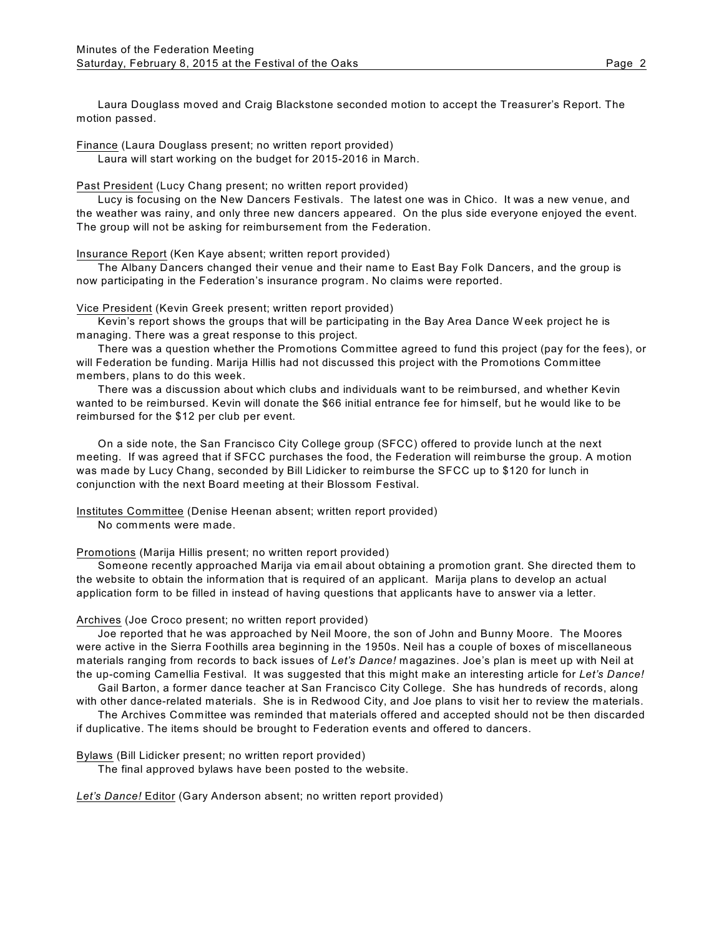Laura Douglass moved and Craig Blackstone seconded motion to accept the Treasurer's Report. The motion passed.

Finance (Laura Douglass present; no written report provided)

Laura will start working on the budget for 2015-2016 in March.

Past President (Lucy Chang present; no written report provided)

Lucy is focusing on the New Dancers Festivals. The latest one was in Chico. It was a new venue, and the weather was rainy, and only three new dancers appeared. On the plus side everyone enjoyed the event. The group will not be asking for reimbursement from the Federation.

Insurance Report (Ken Kaye absent; written report provided)

The Albany Dancers changed their venue and their name to East Bay Folk Dancers, and the group is now participating in the Federation's insurance program. No claims were reported.

Vice President (Kevin Greek present; written report provided)

Kevin's report shows the groups that will be participating in the Bay Area Dance W eek project he is managing. There was a great response to this project.

There was a question whether the Promotions Committee agreed to fund this project (pay for the fees), or will Federation be funding. Marija Hillis had not discussed this project with the Promotions Committee members, plans to do this week.

There was a discussion about which clubs and individuals want to be reimbursed, and whether Kevin wanted to be reimbursed. Kevin will donate the \$66 initial entrance fee for himself, but he would like to be reimbursed for the \$12 per club per event.

On a side note, the San Francisco City College group (SFCC) offered to provide lunch at the next meeting. If was agreed that if SFCC purchases the food, the Federation will reimburse the group. A motion was made by Lucy Chang, seconded by Bill Lidicker to reimburse the SFCC up to \$120 for lunch in conjunction with the next Board meeting at their Blossom Festival.

Institutes Committee (Denise Heenan absent; written report provided)

No comments were made.

Promotions (Marija Hillis present; no written report provided)

Someone recently approached Marija via email about obtaining a promotion grant. She directed them to the website to obtain the information that is required of an applicant. Marija plans to develop an actual application form to be filled in instead of having questions that applicants have to answer via a letter.

### Archives (Joe Croco present; no written report provided)

Joe reported that he was approached by Neil Moore, the son of John and Bunny Moore. The Moores were active in the Sierra Foothills area beginning in the 1950s. Neil has a couple of boxes of miscellaneous materials ranging from records to back issues of *Let's Dance!* magazines. Joe's plan is meet up with Neil at the up-coming Camellia Festival. It was suggested that this might make an interesting article for *Let's Dance!*

Gail Barton, a former dance teacher at San Francisco City College. She has hundreds of records, along with other dance-related materials. She is in Redwood City, and Joe plans to visit her to review the materials.

The Archives Committee was reminded that materials offered and accepted should not be then discarded if duplicative. The items should be brought to Federation events and offered to dancers.

Bylaws (Bill Lidicker present; no written report provided)

The final approved bylaws have been posted to the website.

*Let's Dance!* Editor (Gary Anderson absent; no written report provided)